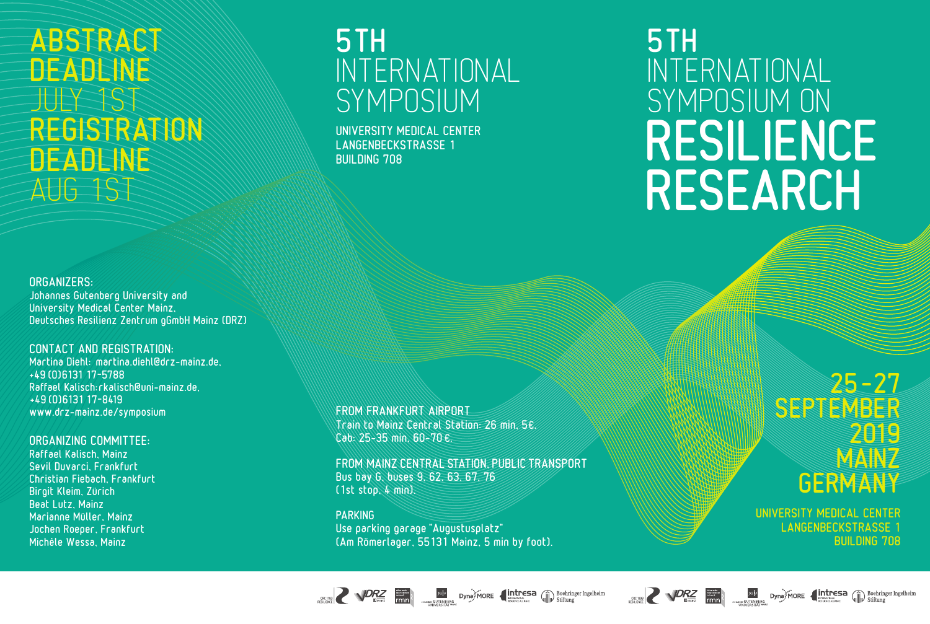# ABSTRACT **DEADENE** JULY 1ST REGISTRATION DEADLINE AUG 1ST

#### ORGANIZERS:

Johannes Gutenberg University and University Medical Center Mainz, Deutsches Resilienz Zentrum gGmbH Mainz (DRZ)

#### CONTACT AND REGISTRATION:

Martina Diehl: martina.diehl@drz-mainz.de, +49 (0)6131 17-5788 Raffael Kalisch: rkalisch@uni-mainz.de, +49 (0)6131 17-8419 www.drz-mainz.de/symposium

#### ORGANIZING COMMITTEE:

Raffael Kalisch, Mainz Sevil Duvarci, Frankfurt Christian Fiebach, Frankfurt Birgit Kleim, Zürich Beat Lutz, Mainz Marianne Müller, Mainz Jochen Roeper, Frankfurt Michèle Wessa, Mainz

FROM FRANKFURT AIRPORT Train to Mainz Central Station: 26 min, 5€. Cab: 25-35 min, 60-70 €.

5TH

BUILDING 708

INTERNATIONAL

**SYMPOSIUM** 

UNIVERSITY MEDICAL CENTER LANGENBECKSTRASSE 1

FROM MAINZ CENTRAL STATION, PUBLIC TRANSPORT Bus bay G, buses 9, 62, 63, 67, 76 (1st stop, 4 min).

**IGU DYNOW CORE CONTENSE CONTENSIST** Dechringer Ingelheim

#### PARKING Use parking garage "Augustusplatz" (Am Römerlager, 55131 Mainz, 5 min by foot).

# 5TH INTERNATIONAL SYMPOSIUM ON RESILIENCE RESEARCH

# UNIVERSITY MEDICAL CENTER LANGENBECKSTRASSE 1 BUILDING 708

**GERMANY** 

SEPTEMBER

25– 27

2019

**MAIN**